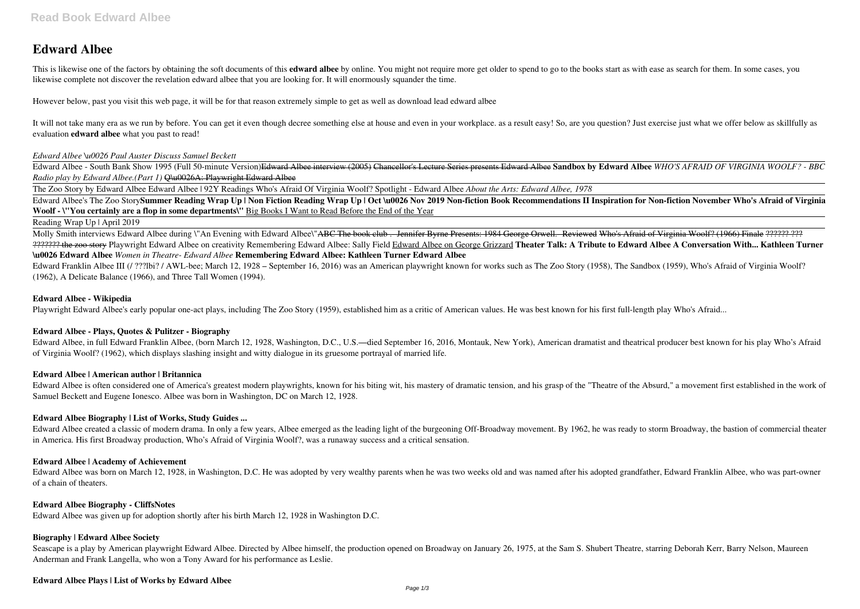# **Edward Albee**

This is likewise one of the factors by obtaining the soft documents of this **edward albee** by online. You might not require more get older to spend to go to the books start as with ease as search for them. In some cases, y likewise complete not discover the revelation edward albee that you are looking for. It will enormously squander the time.

It will not take many era as we run by before. You can get it even though decree something else at house and even in your workplace, as a result easy! So, are you question? Just exercise just what we offer below as skillfu evaluation **edward albee** what you past to read!

However below, past you visit this web page, it will be for that reason extremely simple to get as well as download lead edward albee

Edward Albee's The Zoo StorySummer Reading Wrap Up | Non Fiction Reading Wrap Up | Oct \u0026 Nov 2019 Non-fiction Book Recommendations II Inspiration for Non-fiction November Who's Afraid of Virginia **Woolf - \"You certainly are a flop in some departments\"** Big Books I Want to Read Before the End of the Year

#### *Edward Albee \u0026 Paul Auster Discuss Samuel Beckett*

Edward Albee - South Bank Show 1995 (Full 50-minute Version)Edward Albee interview (2005) Chancellor's Lecture Series presents Edward Albee **Sandbox by Edward Albee** *WHO'S AFRAID OF VIRGINIA WOOLF? - BBC Radio play by Edward Albee.(Part 1)* Q\u0026A: Playwright Edward Albee

Molly Smith interviews Edward Albee during \"An Evening with Edward Albee\"<del>ABC The book club .- Jennifer Byrne Presents: 1984 George Orwell.- Reviewed Who's Afraid of Virginia Woolf? (1966) Finale ?????? ???</del> ??????? the zoo story Playwright Edward Albee on creativity Remembering Edward Albee: Sally Field Edward Albee on George Grizzard **Theater Talk: A Tribute to Edward Albee A Conversation With... Kathleen Turner \u0026 Edward Albee** *Women in Theatre- Edward Albee* **Remembering Edward Albee: Kathleen Turner Edward Albee**

The Zoo Story by Edward Albee Edward Albee | 92Y Readings Who's Afraid Of Virginia Woolf? Spotlight - Edward Albee *About the Arts: Edward Albee, 1978*

Edward Franklin Albee III (/ ???lbi? / AWL-bee; March 12, 1928 – September 16, 2016) was an American playwright known for works such as The Zoo Story (1958), The Sandbox (1959), Who's Afraid of Virginia Woolf? (1962), A Delicate Balance (1966), and Three Tall Women (1994).

#### Reading Wrap Up | April 2019

Edward Albee is often considered one of America's greatest modern playwrights, known for his biting wit, his mastery of dramatic tension, and his grasp of the "Theatre of the Absurd," a movement first established in the wo Samuel Beckett and Eugene Ionesco. Albee was born in Washington, DC on March 12, 1928.

Seascape is a play by American playwright Edward Albee. Directed by Albee himself, the production opened on Broadway on January 26, 1975, at the Sam S. Shubert Theatre, starring Deborah Kerr, Barry Nelson, Maureen Anderman and Frank Langella, who won a Tony Award for his performance as Leslie.

#### **Edward Albee - Wikipedia**

Playwright Edward Albee's early popular one-act plays, including The Zoo Story (1959), established him as a critic of American values. He was best known for his first full-length play Who's Afraid...

#### **Edward Albee - Plays, Quotes & Pulitzer - Biography**

Edward Albee, in full Edward Franklin Albee, (born March 12, 1928, Washington, D.C., U.S.—died September 16, 2016, Montauk, New York), American dramatist and theatrical producer best known for his play Who's Afraid of Virginia Woolf? (1962), which displays slashing insight and witty dialogue in its gruesome portrayal of married life.

#### **Edward Albee | American author | Britannica**

#### **Edward Albee Biography | List of Works, Study Guides ...**

Edward Albee created a classic of modern drama. In only a few years, Albee emerged as the leading light of the burgeoning Off-Broadway movement. By 1962, he was ready to storm Broadway, the bastion of commercial theater in America. His first Broadway production, Who's Afraid of Virginia Woolf?, was a runaway success and a critical sensation.

#### **Edward Albee | Academy of Achievement**

Edward Albee was born on March 12, 1928, in Washington, D.C. He was adopted by very wealthy parents when he was two weeks old and was named after his adopted grandfather, Edward Franklin Albee, who was part-owner of a chain of theaters.

#### **Edward Albee Biography - CliffsNotes**

Edward Albee was given up for adoption shortly after his birth March 12, 1928 in Washington D.C.

# **Biography | Edward Albee Society**

# **Edward Albee Plays | List of Works by Edward Albee**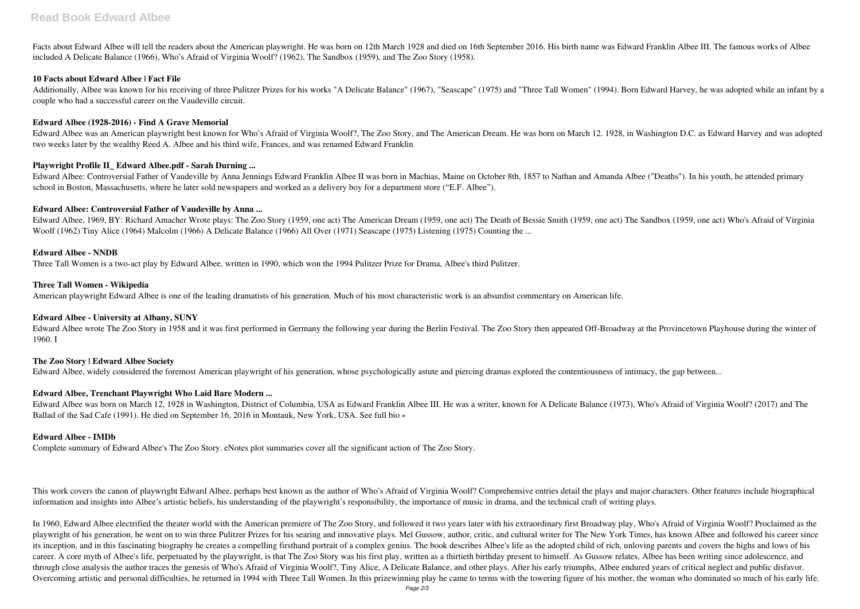Facts about Edward Albee will tell the readers about the American playwright. He was born on 12th March 1928 and died on 16th September 2016. His birth name was Edward Franklin Albee III. The famous works of Albee included A Delicate Balance (1966), Who's Afraid of Virginia Woolf? (1962), The Sandbox (1959), and The Zoo Story (1958).

#### **10 Facts about Edward Albee | Fact File**

Additionally, Albee was known for his receiving of three Pulitzer Prizes for his works "A Delicate Balance" (1967), "Seascape" (1975) and "Three Tall Women" (1994). Born Edward Harvey, he was adopted while an infant by a couple who had a successful career on the Vaudeville circuit.

#### **Edward Albee (1928-2016) - Find A Grave Memorial**

Edward Albee was an American playwright best known for Who's Afraid of Virginia Woolf?, The Zoo Story, and The American Dream. He was born on March 12. 1928, in Washington D.C. as Edward Harvey and was adopted two weeks later by the wealthy Reed A. Albee and his third wife, Frances, and was renamed Edward Franklin

## **Playwright Profile II\_ Edward Albee.pdf - Sarah Durning ...**

Edward Albee wrote The Zoo Story in 1958 and it was first performed in Germany the following year during the Berlin Festival. The Zoo Story then appeared Off-Broadway at the Provincetown Playhouse during the winter of 1960. I

Edward Albee: Controversial Father of Vaudeville by Anna Jennings Edward Franklin Albee II was born in Machias, Maine on October 8th, 1857 to Nathan and Amanda Albee ("Deaths"). In his youth, he attended primary school in Boston, Massachusetts, where he later sold newspapers and worked as a delivery boy for a department store ("E.F. Albee").

## **Edward Albee: Controversial Father of Vaudeville by Anna ...**

Edward Albee, 1969, BY: Richard Amacher Wrote plays: The Zoo Story (1959, one act) The American Dream (1959, one act) The Death of Bessie Smith (1959, one act) The Sandbox (1959, one act) Who's Afraid of Virginia Woolf (1962) Tiny Alice (1964) Malcolm (1966) A Delicate Balance (1966) All Over (1971) Seascape (1975) Listening (1975) Counting the ...

## **Edward Albee - NNDB**

Three Tall Women is a two-act play by Edward Albee, written in 1990, which won the 1994 Pulitzer Prize for Drama, Albee's third Pulitzer.

#### **Three Tall Women - Wikipedia**

American playwright Edward Albee is one of the leading dramatists of his generation. Much of his most characteristic work is an absurdist commentary on American life.

#### **Edward Albee - University at Albany, SUNY**

#### **The Zoo Story | Edward Albee Society**

Edward Albee, widely considered the foremost American playwright of his generation, whose psychologically astute and piercing dramas explored the contentiousness of intimacy, the gap between...

# **Edward Albee, Trenchant Playwright Who Laid Bare Modern ...**

Edward Albee was born on March 12, 1928 in Washington, District of Columbia, USA as Edward Franklin Albee III. He was a writer, known for A Delicate Balance (1973), Who's Afraid of Virginia Woolf? (2017) and The Ballad of the Sad Cafe (1991). He died on September 16, 2016 in Montauk, New York, USA. See full bio »

# **Edward Albee - IMDb**

Complete summary of Edward Albee's The Zoo Story. eNotes plot summaries cover all the significant action of The Zoo Story.

This work covers the canon of playwright Edward Albee, perhaps best known as the author of Who's Afraid of Virginia Woolf? Comprehensive entries detail the plays and major characters. Other features include biographical information and insights into Albee's artistic beliefs, his understanding of the playwright's responsibility, the importance of music in drama, and the technical craft of writing plays.

In 1960, Edward Albee electrified the theater world with the American premiere of The Zoo Story, and followed it two years later with his extraordinary first Broadway play, Who's Afraid of Virginia Woolf? Proclaimed as the playwright of his generation, he went on to win three Pulitzer Prizes for his searing and innovative plays. Mel Gussow, author, critic, and cultural writer for The New York Times, has known Albee and followed his career si its inception, and in this fascinating biography he creates a compelling firsthand portrait of a complex genius. The book describes Albee's life as the adopted child of rich, unloving parents and covers the highs and lows career. A core myth of Albee's life, perpetuated by the playwright, is that The Zoo Story was his first play, written as a thirtieth birthday present to himself. As Gussow relates, Albee has been writing since adolescence, through close analysis the author traces the genesis of Who's Afraid of Virginia Woolf?, Tiny Alice, A Delicate Balance, and other plays. After his early triumphs, Albee endured years of critical neglect and public disfavor. Overcoming artistic and personal difficulties, he returned in 1994 with Three Tall Women. In this prizewinning play he came to terms with the towering figure of his mother, the woman who dominated so much of his early life.